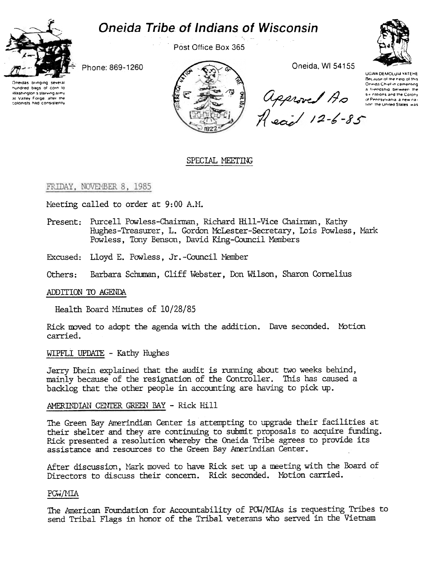# **Oneida Tribe of Indians of Wisconsin**



Post Office Box 365



Phone: 869-1260

Oneidas bringing sev nundred bags of corn to Washington's starving army at Valley Forge, after the colonists had consistently



Oneida, WI 54155

UGWA DEMOLUM YATEHE Because of the help of this Oneida Chief in cementing a friendship between the a successive between the<br>department of the contract of the Color<br>Head 12-6-85

# SPECIAL MEETING

### FRIDAY, NOVEMBER 8, 1985

Meeting called to order at 9:00 A.M.

- Present: Purcell Powless-Chairman, Richard Hill-Vice Chairman, Kathy Hughes-Treasurer, L. Gordon McLester-Secretary, Lois Powless, Mark Powless, Tony Benson, David King-Council Members
- Excused: Lloyd E. Powless, Jr.-Council Member
- Barbara Schuman, Cliff Webster, Don Wilson, Sharon Cornelius Others:

### ADDITION TO AGENDA

Health Board Minutes of 10/28/85

Rick moved to adopt the agenda with the addition. Dave seconded. Motion carried.

WIPFLI UPDATE - Kathy Hughes

Jerry Dhein explained that the audit is running about two weeks behind, mainly because of the resignation of the Controller. This has caused a backlog that the other people in accounting are having to pick up.

# AMERINDIAN CENTER GREEN BAY - Rick Hill

The Green Bay Amerindian Center is attempting to upgrade their facilities at their shelter and they are continuing to submit proposals to acquire funding. Rick presented a resolution whereby the Oneida Tribe agrees to provide its assistance and resources to the Green Bay Amerindian Center.

After discussion, Mark moved to have Rick set up a meeting with the Board of Directors to discuss their concern. Rick seconded. Motion carried.

### POW/MIA

The American Foundation for Accountability of POW/MIAs is requesting Tribes to send Tribal Flags in honor of the Tribal veterans who served in the Vietnam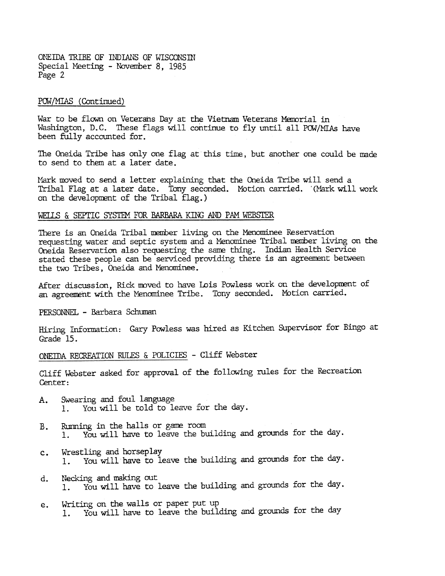ONEIDA TRIBE OF INDIANS OF WISCONSIN Special Meeting - November 8, 1985 Page 2

# POW/MIAS (Continued)

War to be flown on Veterans Day at the Vietnam Veterans Memorial in Washington, D.C. These flags will continue to fly until all POW/MIAs have been fully accounted for.

The Oneida Tribe has only one flag at this time, but another one could be made to send to them at a later date.

Mark moved to send a letter explaining that the Oneida Tribe will send a Tribal Flag at a later date. Tony seconded. Motion carried. '(Mark will work on the development of the Tribal flag.)

# WELLS & SEPTIC SYSTEM FOR BARBARA KING AND PAM WEBSTER

There is an Oneida Tribal member living on the Menominee Reservation requesting water and septic system and a Menominee Tribal member living on the Oneida Reservation also requesting the same thing. Indian Health Service stated these people can be serviced providing there is an agreement between the two Tribes, Oneida and Menominee.

After discussion, Rick moved to have Lois Powless work on the development of an agreement with the Menominee Tribe. Tony seconded. Motion carried.

PERSONNEL - Barbara Schuman

Hiring Information: Gary Powless was hired as Kitchen Supervisor for Bingo at Grade 15.

ONEIDA RECREATION RULES & POLICIES - Cliff Webster

Cliff Webster asked for approval of the following rules for the Recreation Center:

- Swearing and foul language А. 1. You will be told to leave for the day.
- B. Rumning in the halls or game room<br>1. You will have to leave the bu You will have to leave the building and grounds for the day.
- c. Wrestling and horseplay<br>1. You will have to le You will have to leave the building and grounds for the day.
- Necking and making out  $\mathbf{d}_{\star}$ 1. You will have to leave the building and grounds for the day.
- Writing on the walls or paper put up e. 1. You will. have to leave the building and grounds for the day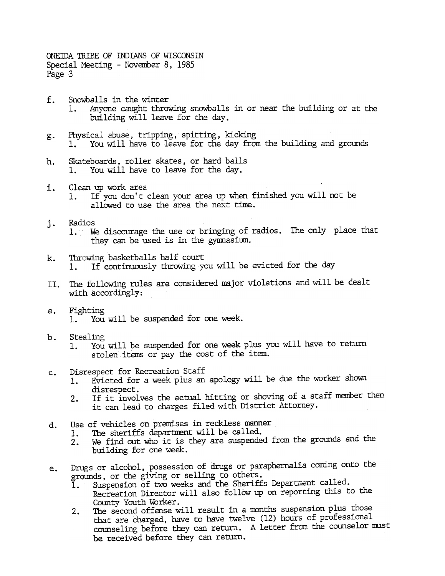ONEIDA TRIBE OF INDIANS OF WISCONSIN Special Meeting - November 8, 1985 Page 3

- f. Snowballs in the winter 1. Anyone caught throwing snowballs in or near the building or at the building will leave for the day.
- Physical abuse, tripping, spitting, kicking  $g$ . 1. You will have to leave for the day from the building and grounds
- Skateboards, roller skates, or hard balls h. 1. You will have to leave for the day.
- i. Clean up work area<br>1. If you don't clean your area up when finished you will not be allowed to use the area the next time.
- Radios 1. We discourage the use or bringing of radios. The only place that they can be used is in the gymnasium.
- Throwing basketballs half court<br>1. If continuously throwing you will be evicted for the day
- The following rules are considered major violations and will be dealt with accordingly: II.
- 
- 
- b. Stealing<br>1. You will be suspended for one week plus you will have to return stolen items or pay the cost of the item.
- c. Disrespect for Recreation Staff<br>1. Evicted for a week plus an
	- 1. Evicted for a week plus an apology will be due the worker shown
	- disrespect.<br>2. If it involves the actual hitting or shoving of a staff member then it can lead to charges filed with District Attorney.
- Use of vehicles on premises in reckless manner<br>1. The sheriffs department will be called.
	-
	- 2. We find out who it is they are suspended from the grounds and the building for one week.
- Drugs or alcohol, possession of drugs or paraphernalia coming onto the grounds, or the giving or selling to others.
	- Suspension of two weeks and the Sheriffs Department called.
	- Recreation Director will also follow up on reporting this to the County Youth Worker.
- 1. We discourage the use or bringing of radios. The only they can be used is in the gymnasium.<br>
I. Throwing basketballs half court<br>
1. If continuously throwing you will be evicted for the c<br>
1. The following rules are con k. Throwing basketballs half court<br>
1. If continuously throwing y<br>
11. The following rules are conside<br>
with accordingly:<br>
2. Fighting<br>
1. You will be suspended for<br>
1. You will be suspended for<br>
1. Evicted for a week plus a. Fighting<br>
1. You will be suspended for one week,<br>
1. You will be suspended for one week<br>
stolen items or pay the cost of the<br>
c. Disrespect for Recreation Staff<br>
1. Evicted for a week plus an apology<br>
disrespect.<br>
1. Ev d. Use of vehicles on premises in reckless manner<br>1. The sheriffs department will be called.<br>2. We find out who it is they are suspended i<br>building for one week.<br>2. Drugs or alcohol, possession of drugs or parapl<br>grounds, e. Drugs or alcohol, possession of drugs or paraphernalia coming onto the grounds, or the giving or selling to others.<br>
1. Suspension of two weeks and the Sheriffs Department called.<br>
Recreation Director will also follow u 2. The second offense will result in a months suspension plus those that are charged, have to have twelve (12) hours of professional counseling before they can return. A letter from the counselor must be received before they can return.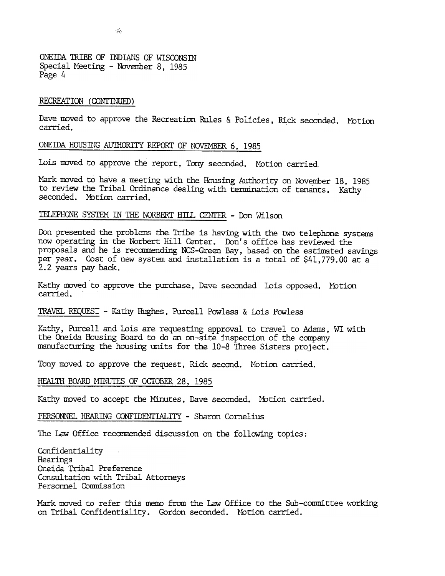ONEIDA TRIBE OF INDIANS OF WISCONSIN Special Meeting - November 8, 1985 Page 4

#### RECREATION (CONTINUED)

Dave moved to approve the Recreation Rules & Policies, Rick seconded. Moti carried.

#### ONEIDA HOUSING AUTHORITY REPORT OF NOVEMBER 6, 1985

Lois moved to approve the report, Tony seconded. Motion carried

Mark moved to have a meeting with the Housing Authority on November 18, 1985 to review the Tribal Ordinance dealing with termination of tenants. Kathy seconded. Mbtion carried.

# TELEPHONE SYSTEM IN THE NORBERT HILL CENTER - Don Wilson

Don presented the problems the Tribe is having with the two telephone systems now operating in the Norbert Hill Center. Don's office has reviewed the proposals and he is recommending NCS-Green Bay, based on the estimated savings per year. Cost of new system and installation is a total of \$41,779.00 at a 2.2 years pay back.

Kathy moved to approve the purchase, Dave seconded Lois opposed. Motion

TRAVEl. REQUEST -Kathy Hughes, Purcell Powless & Lois Powless

Kathy, Purcell and Lois are requesting approval to travel to Adams, WI with the Oneida Housing Board to do an on-site inspection of the company manufacturing the housing units for the 10-8 Three Sisters project.

Tony moved to approve the request, Rick second. Motion carried.

# HEALTH BOARD MINUTES OF OCTOBER 28, 1985

Kathy moved to accept the Minutes, Dave seconded. Motion carried.

PERSONNEL HEARING CONFIDENTIALITY - Sharon Cornelius

The Law Office recommended discussion on the following topics:

Confidentiality Hearings Oneida Tribal Preference Consultation with Tribal Attorneys Personnel Commission

Mark moved to refer this memo from the Law Office to the Sub-committee working on Tribal Confidentiality. Gordon seconded. lfotion carried.

 $\sim$